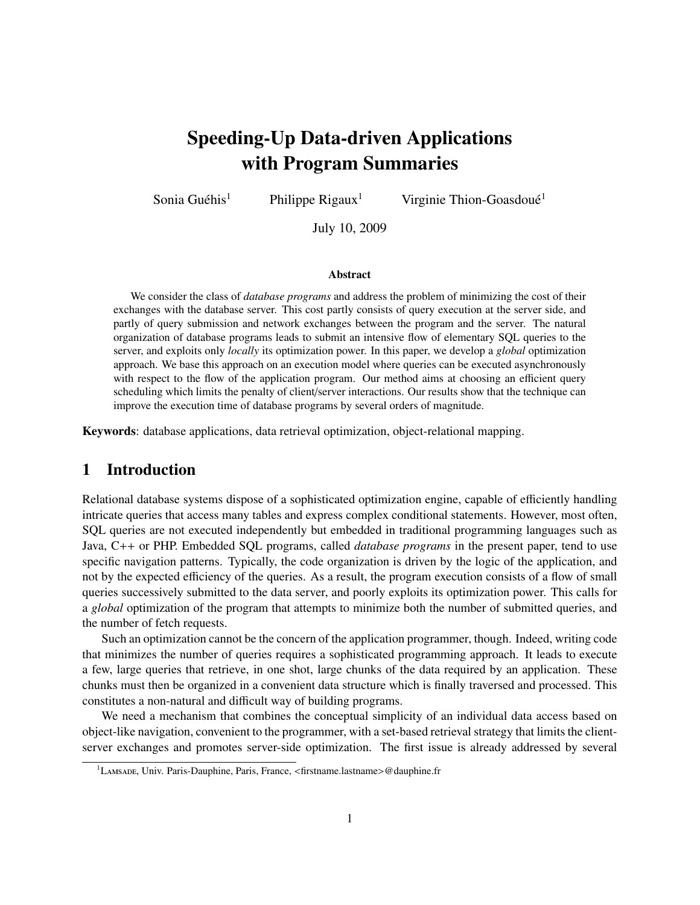# Speeding-Up Data-driven Applications with Program Summaries

Sonia Guéhis<sup>1</sup> Philippe Rigaux<sup>1</sup> Virginie Thion-Goasdoué<sup>1</sup>

July 10, 2009

#### Abstract

We consider the class of *database programs* and address the problem of minimizing the cost of their exchanges with the database server. This cost partly consists of query execution at the server side, and partly of query submission and network exchanges between the program and the server. The natural organization of database programs leads to submit an intensive flow of elementary SQL queries to the server, and exploits only *locally* its optimization power. In this paper, we develop a *global* optimization approach. We base this approach on an execution model where queries can be executed asynchronously with respect to the flow of the application program. Our method aims at choosing an efficient query scheduling which limits the penalty of client/server interactions. Our results show that the technique can improve the execution time of database programs by several orders of magnitude.

Keywords: database applications, data retrieval optimization, object-relational mapping.

## 1 Introduction

Relational database systems dispose of a sophisticated optimization engine, capable of efficiently handling intricate queries that access many tables and express complex conditional statements. However, most often, SQL queries are not executed independently but embedded in traditional programming languages such as Java, C++ or PHP. Embedded SQL programs, called *database programs* in the present paper, tend to use specific navigation patterns. Typically, the code organization is driven by the logic of the application, and not by the expected efficiency of the queries. As a result, the program execution consists of a flow of small queries successively submitted to the data server, and poorly exploits its optimization power. This calls for a *global* optimization of the program that attempts to minimize both the number of submitted queries, and the number of fetch requests.

Such an optimization cannot be the concern of the application programmer, though. Indeed, writing code that minimizes the number of queries requires a sophisticated programming approach. It leads to execute a few, large queries that retrieve, in one shot, large chunks of the data required by an application. These chunks must then be organized in a convenient data structure which is finally traversed and processed. This constitutes a non-natural and difficult way of building programs.

We need a mechanism that combines the conceptual simplicity of an individual data access based on object-like navigation, convenient to the programmer, with a set-based retrieval strategy that limits the clientserver exchanges and promotes server-side optimization. The first issue is already addressed by several

<sup>1</sup>Lamsade, Univ. Paris-Dauphine, Paris, France, <firstname.lastname>@dauphine.fr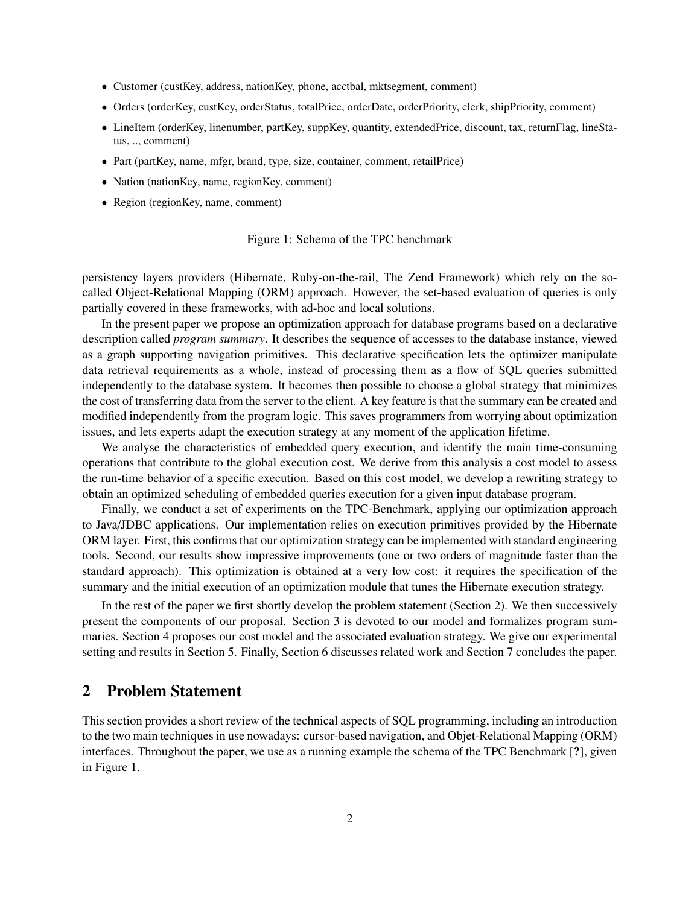- Customer (custKey, address, nationKey, phone, acctbal, mktsegment, comment)
- Orders (orderKey, custKey, orderStatus, totalPrice, orderDate, orderPriority, clerk, shipPriority, comment)
- LineItem (orderKey, linenumber, partKey, suppKey, quantity, extendedPrice, discount, tax, returnFlag, lineStatus, .., comment)
- Part (partKey, name, mfgr, brand, type, size, container, comment, retailPrice)
- Nation (nationKey, name, regionKey, comment)
- Region (regionKey, name, comment)

#### Figure 1: Schema of the TPC benchmark

persistency layers providers (Hibernate, Ruby-on-the-rail, The Zend Framework) which rely on the socalled Object-Relational Mapping (ORM) approach. However, the set-based evaluation of queries is only partially covered in these frameworks, with ad-hoc and local solutions.

In the present paper we propose an optimization approach for database programs based on a declarative description called *program summary*. It describes the sequence of accesses to the database instance, viewed as a graph supporting navigation primitives. This declarative specification lets the optimizer manipulate data retrieval requirements as a whole, instead of processing them as a flow of SQL queries submitted independently to the database system. It becomes then possible to choose a global strategy that minimizes the cost of transferring data from the server to the client. A key feature is that the summary can be created and modified independently from the program logic. This saves programmers from worrying about optimization issues, and lets experts adapt the execution strategy at any moment of the application lifetime.

We analyse the characteristics of embedded query execution, and identify the main time-consuming operations that contribute to the global execution cost. We derive from this analysis a cost model to assess the run-time behavior of a specific execution. Based on this cost model, we develop a rewriting strategy to obtain an optimized scheduling of embedded queries execution for a given input database program.

Finally, we conduct a set of experiments on the TPC-Benchmark, applying our optimization approach to Java/JDBC applications. Our implementation relies on execution primitives provided by the Hibernate ORM layer. First, this confirms that our optimization strategy can be implemented with standard engineering tools. Second, our results show impressive improvements (one or two orders of magnitude faster than the standard approach). This optimization is obtained at a very low cost: it requires the specification of the summary and the initial execution of an optimization module that tunes the Hibernate execution strategy.

In the rest of the paper we first shortly develop the problem statement (Section 2). We then successively present the components of our proposal. Section 3 is devoted to our model and formalizes program summaries. Section 4 proposes our cost model and the associated evaluation strategy. We give our experimental setting and results in Section 5. Finally, Section 6 discusses related work and Section 7 concludes the paper.

## 2 Problem Statement

This section provides a short review of the technical aspects of SQL programming, including an introduction to the two main techniques in use nowadays: cursor-based navigation, and Objet-Relational Mapping (ORM) interfaces. Throughout the paper, we use as a running example the schema of the TPC Benchmark [?], given in Figure 1.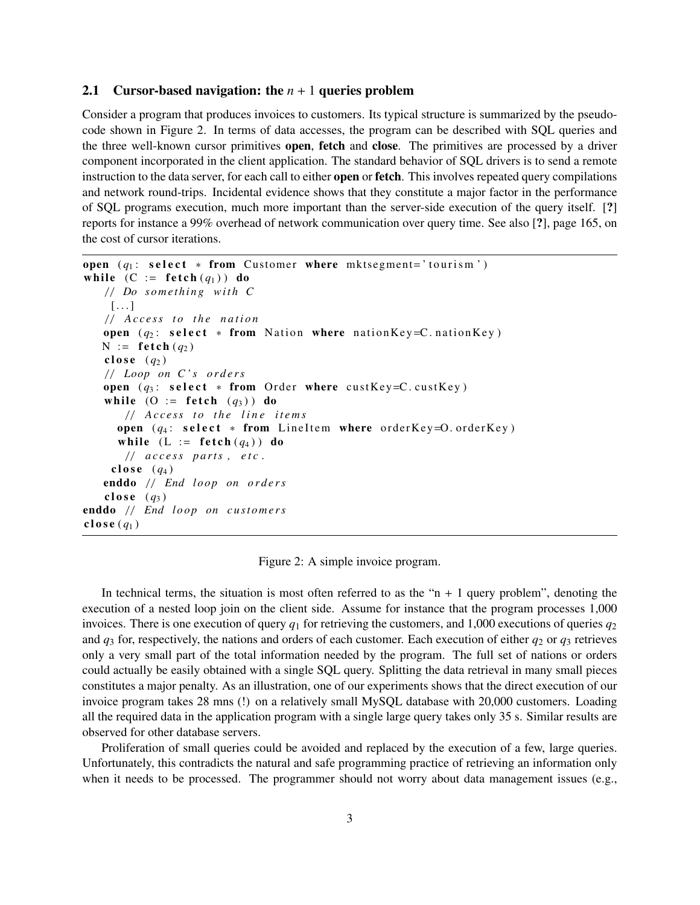#### 2.1 Cursor-based navigation: the  $n + 1$  queries problem

Consider a program that produces invoices to customers. Its typical structure is summarized by the pseudocode shown in Figure 2. In terms of data accesses, the program can be described with SQL queries and the three well-known cursor primitives open, fetch and close. The primitives are processed by a driver component incorporated in the client application. The standard behavior of SQL drivers is to send a remote instruction to the data server, for each call to either **open** or **fetch**. This involves repeated query compilations and network round-trips. Incidental evidence shows that they constitute a major factor in the performance of SQL programs execution, much more important than the server-side execution of the query itself. [?] reports for instance a 99% overhead of network communication over query time. See also [?], page 165, on the cost of cursor iterations.

```
open (q_1: \text{select } * \text{ from Customer where } \text{mksegment} = 'tourism')while (C := \text{ fetch}(q_1)) do
    / / Do s o m et hi n g wit h C
     [\ldots]/ / A c c e s s t o t h e n a t i o n
    open (q_2: \text{select } * \text{ from Nation where } \text{nationalKey} = C.\text{nationalKey})N := \textbf{f} \cdot \textbf{t} \cdot (q_2)close (q_2)/ / Loop on C ' s o r d e r s
    open (q_3: \text{select } * \text{ from Order where } \text{custKey} = C \text{.} \text{custKey})while (O := \textbf{fetch } (q_3)) do
         / / A c c e s s t o t h e l i n e i t e m s
       open (q_4: \text{select } * \text{ from LineItem where orderKey=O. orderKey})while (L := \text{fetch}(q_4)) do
         / / a c c e s s p a rt s , e t c .
      close (q_4)enddo // End loop on orders
     close (q_3)enddo // End loop on customers
close (q_1)
```
Figure 2: A simple invoice program.

In technical terms, the situation is most often referred to as the " $n + 1$  query problem", denoting the execution of a nested loop join on the client side. Assume for instance that the program processes 1,000 invoices. There is one execution of query  $q_1$  for retrieving the customers, and 1,000 executions of queries  $q_2$ and  $q_3$  for, respectively, the nations and orders of each customer. Each execution of either  $q_2$  or  $q_3$  retrieves only a very small part of the total information needed by the program. The full set of nations or orders could actually be easily obtained with a single SQL query. Splitting the data retrieval in many small pieces constitutes a major penalty. As an illustration, one of our experiments shows that the direct execution of our invoice program takes 28 mns (!) on a relatively small MySQL database with 20,000 customers. Loading all the required data in the application program with a single large query takes only 35 s. Similar results are observed for other database servers.

Proliferation of small queries could be avoided and replaced by the execution of a few, large queries. Unfortunately, this contradicts the natural and safe programming practice of retrieving an information only when it needs to be processed. The programmer should not worry about data management issues (e.g.,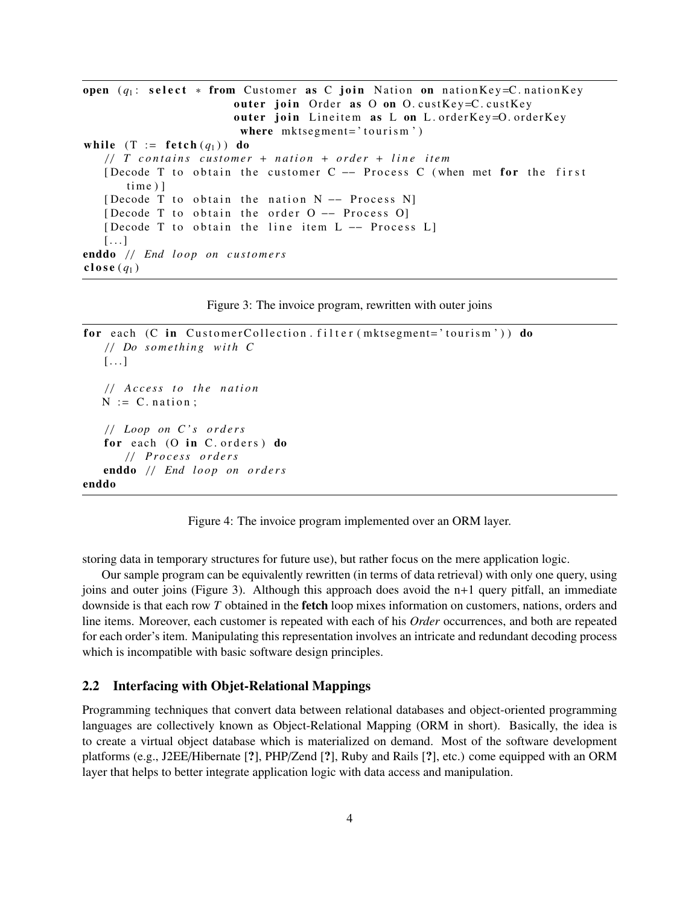```
open (q_1: \text{select } * \text{ from Customer as C join Nation on nationKey=C.nationKey}outer join Order as O on O. custKey=C. custKey
                         outer join Lineitem as L on L. orderKey=O. orderKey
                          where mktsegment='tourism')while (T := \text{ fetch}(q_1)) do
   / / T c o n t a i n s c u st o m e r + n a t i o n + o r d e r + l i n e it e m
   [Decode T to obtain the customer C - Process C (when met for the first
       time)]
   [ Decode T to obtain the nation N -- Process N]
   [Decode T to obtain the order O -- Process O]
   [Decode T to obtain the line item L -- Process L]
   [\ldots]enddo // End loop on customers
close (q_1)
```
Figure 3: The invoice program, rewritten with outer joins

```
for each (C in CustomerCollection. filter (mktsegment='tourism')) do
   / / Do s o m et hi n g wit h C
   [\ldots]/ / A c c e s s t o t h e n a t i o n
   N := C. nation :
   / / Loop on C ' s o r d e r s
   for each (O in C. orders) do
       / / P r o c e s s o r d e r s
   enddo // End loop on orders
enddo
```
Figure 4: The invoice program implemented over an ORM layer.

storing data in temporary structures for future use), but rather focus on the mere application logic.

Our sample program can be equivalently rewritten (in terms of data retrieval) with only one query, using joins and outer joins (Figure 3). Although this approach does avoid the  $n+1$  query pitfall, an immediate downside is that each row *T* obtained in the fetch loop mixes information on customers, nations, orders and line items. Moreover, each customer is repeated with each of his *Order* occurrences, and both are repeated for each order's item. Manipulating this representation involves an intricate and redundant decoding process which is incompatible with basic software design principles.

#### 2.2 Interfacing with Objet-Relational Mappings

Programming techniques that convert data between relational databases and object-oriented programming languages are collectively known as Object-Relational Mapping (ORM in short). Basically, the idea is to create a virtual object database which is materialized on demand. Most of the software development platforms (e.g., J2EE/Hibernate [?], PHP/Zend [?], Ruby and Rails [?], etc.) come equipped with an ORM layer that helps to better integrate application logic with data access and manipulation.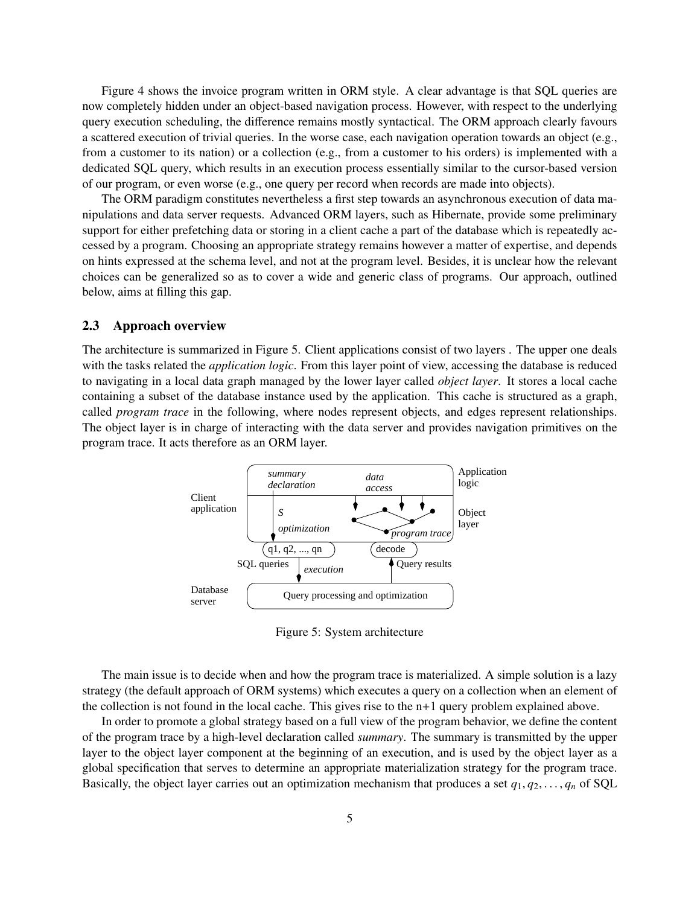Figure 4 shows the invoice program written in ORM style. A clear advantage is that SQL queries are now completely hidden under an object-based navigation process. However, with respect to the underlying query execution scheduling, the difference remains mostly syntactical. The ORM approach clearly favours a scattered execution of trivial queries. In the worse case, each navigation operation towards an object (e.g., from a customer to its nation) or a collection (e.g., from a customer to his orders) is implemented with a dedicated SQL query, which results in an execution process essentially similar to the cursor-based version of our program, or even worse (e.g., one query per record when records are made into objects).

The ORM paradigm constitutes nevertheless a first step towards an asynchronous execution of data manipulations and data server requests. Advanced ORM layers, such as Hibernate, provide some preliminary support for either prefetching data or storing in a client cache a part of the database which is repeatedly accessed by a program. Choosing an appropriate strategy remains however a matter of expertise, and depends on hints expressed at the schema level, and not at the program level. Besides, it is unclear how the relevant choices can be generalized so as to cover a wide and generic class of programs. Our approach, outlined below, aims at filling this gap.

#### 2.3 Approach overview

The architecture is summarized in Figure 5. Client applications consist of two layers . The upper one deals with the tasks related the *application logic*. From this layer point of view, accessing the database is reduced to navigating in a local data graph managed by the lower layer called *object layer*. It stores a local cache containing a subset of the database instance used by the application. This cache is structured as a graph, called *program trace* in the following, where nodes represent objects, and edges represent relationships. The object layer is in charge of interacting with the data server and provides navigation primitives on the program trace. It acts therefore as an ORM layer.



Figure 5: System architecture

The main issue is to decide when and how the program trace is materialized. A simple solution is a lazy strategy (the default approach of ORM systems) which executes a query on a collection when an element of the collection is not found in the local cache. This gives rise to the  $n+1$  query problem explained above.

In order to promote a global strategy based on a full view of the program behavior, we define the content of the program trace by a high-level declaration called *summary*. The summary is transmitted by the upper layer to the object layer component at the beginning of an execution, and is used by the object layer as a global specification that serves to determine an appropriate materialization strategy for the program trace. Basically, the object layer carries out an optimization mechanism that produces a set  $q_1, q_2, \ldots, q_n$  of SQL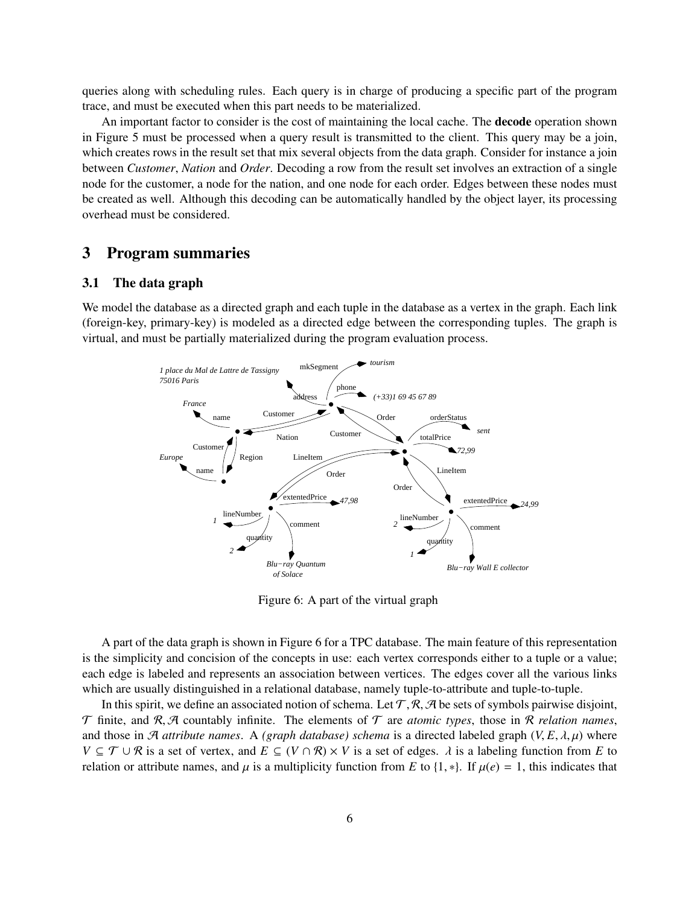queries along with scheduling rules. Each query is in charge of producing a specific part of the program trace, and must be executed when this part needs to be materialized.

An important factor to consider is the cost of maintaining the local cache. The decode operation shown in Figure 5 must be processed when a query result is transmitted to the client. This query may be a join, which creates rows in the result set that mix several objects from the data graph. Consider for instance a join between *Customer*, *Nation* and *Order*. Decoding a row from the result set involves an extraction of a single node for the customer, a node for the nation, and one node for each order. Edges between these nodes must be created as well. Although this decoding can be automatically handled by the object layer, its processing overhead must be considered.

## 3 Program summaries

#### 3.1 The data graph

We model the database as a directed graph and each tuple in the database as a vertex in the graph. Each link (foreign-key, primary-key) is modeled as a directed edge between the corresponding tuples. The graph is virtual, and must be partially materialized during the program evaluation process.



Figure 6: A part of the virtual graph

A part of the data graph is shown in Figure 6 for a TPC database. The main feature of this representation is the simplicity and concision of the concepts in use: each vertex corresponds either to a tuple or a value; each edge is labeled and represents an association between vertices. The edges cover all the various links which are usually distinguished in a relational database, namely tuple-to-attribute and tuple-to-tuple.

In this spirit, we define an associated notion of schema. Let  $\mathcal{T}, \mathcal{R}, \mathcal{A}$  be sets of symbols pairwise disjoint,  $T$  finite, and  $R$ ,  $H$  countably infinite. The elements of  $T$  are *atomic types*, those in  $R$  *relation names*, and those in A *attribute names.* A *(graph database) schema* is a directed labeled graph  $(V, E, \lambda, \mu)$  where *V* ⊆  $T$  ∪  $\mathcal{R}$  is a set of vertex, and  $E$  ⊆  $(V \cap \mathcal{R}) \times V$  is a set of edges.  $\lambda$  is a labeling function from *E* to relation or attribute names, and  $\mu$  is a multiplicity function from *E* to {1, \*}. If  $\mu(e) = 1$ , this indicates that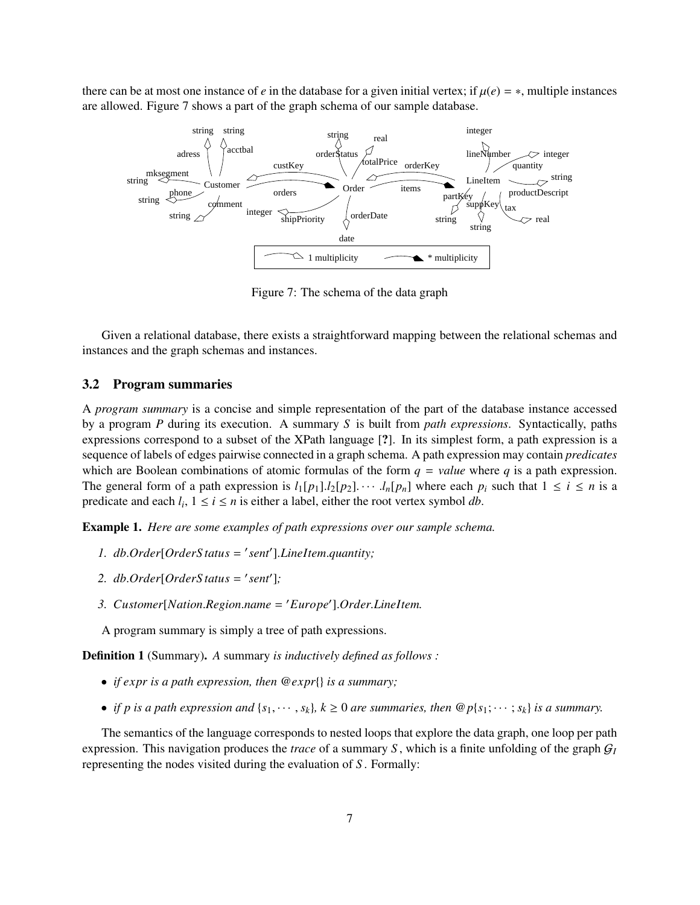there can be at most one instance of *e* in the database for a given initial vertex; if  $\mu(e) = *$ , multiple instances are allowed. Figure 7 shows a part of the graph schema of our sample database.



Figure 7: The schema of the data graph

Given a relational database, there exists a straightforward mapping between the relational schemas and instances and the graph schemas and instances.

#### 3.2 Program summaries

A *program summary* is a concise and simple representation of the part of the database instance accessed by a program *P* during its execution. A summary *S* is built from *path expressions*. Syntactically, paths expressions correspond to a subset of the XPath language [?]. In its simplest form, a path expression is a sequence of labels of edges pairwise connected in a graph schema. A path expression may contain *predicates* which are Boolean combinations of atomic formulas of the form  $q = value$  where q is a path expression. The general form of a path expression is  $l_1[p_1] \cdot l_2[p_2] \cdot \cdot \cdot \cdot l_n[p_n]$  where each  $p_i$  such that  $1 \le i \le n$  is a predicate and each  $l_i$ ,  $1 \le i \le n$  is either a label, either the root vertex symbol *db*.

Example 1. *Here are some examples of path expressions over our sample schema.*

- 1. *db.Order*[*OrderStatus* = 'sent'].*LineItem.quantity*;
- 2. *db.Order*[*OrderStatus* = 'sent'];
- 3. *Customer*[*Nation.Region.name = 'Europe'*].*Order.LineItem.*
- A program summary is simply a tree of path expressions.

Definition 1 (Summary). *A* summary *is inductively defined as follows :*

- *if expr is a path expression, then* @*expr*{} *is a summary;*
- *if p is a path expression and*  $\{s_1, \dots, s_k\}$ ,  $k \ge 0$  *are summaries, then*  $\mathcal{Q}_p\{s_1; \dots, s_k\}$  *is a summary.*

The semantics of the language corresponds to nested loops that explore the data graph, one loop per path expression. This navigation produces the *trace* of a summary *S*, which is a finite unfolding of the graph  $G_I$ representing the nodes visited during the evaluation of *S* . Formally: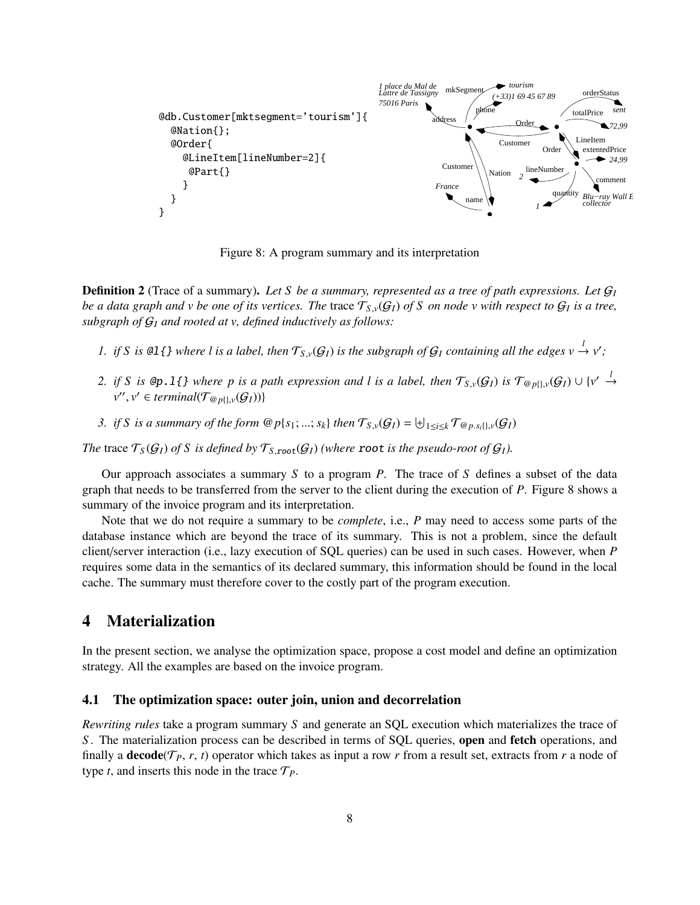

Figure 8: A program summary and its interpretation

**Definition 2** (Trace of a summary). Let S be a summary, represented as a tree of path expressions. Let  $G_I$ *be a data graph and v be one of its vertices. The trace*  $\mathcal{T}_{S,\nu}(\mathcal{G}_I)$  *of* S *on node v with respect to*  $\mathcal{G}_I$  *is a tree,*  $\mathcal{G}_I(\mathcal{G}_I)$  *is a tree, subgraph of* G*<sup>I</sup> and rooted at v, defined inductively as follows:*

- *1. if S is*  $\mathfrak{al}\{\}\$  *where l is a label, then*  $\mathcal{T}_{S,\nu}(\mathcal{G}_I)$  *is the subgraph of*  $\mathcal{G}_I$  *containing all the edges*  $v \xrightarrow{l} v'$ ;
- *2. if S is* **@p.**1{} where p is a path expression and l is a label, then  $\mathcal{T}_{S,\nu}(\mathcal{G}_I)$  is  $\mathcal{T}_{@p{}}(\cdot,\nu(\mathcal{G}_I) \cup \{v' \stackrel{l}{\rightarrow} v'' \mid v'' \in \mathcal{G}_I\}$  $v'', v' \in terminal(\mathcal{T}_{@p{\setminus} \{v\}}(G_I))\}$
- *3. if S is a summary of the form*  $@p\{s_1; \ldots; s_k\}$  *then*  $\mathcal{T}_{S,\nu}(G_I) = \biguplus_{1 \leq i \leq k} \mathcal{T}_{@p.s_i\{j,\nu}(G_I)}$

*The* trace  $\mathcal{T}_S(\mathcal{G}_I)$  of S is defined by  $\mathcal{T}_{S,root}(\mathcal{G}_I)$  (where root is the pseudo-root of  $\mathcal{G}_I$ ).

Our approach associates a summary *S* to a program *P*. The trace of *S* defines a subset of the data graph that needs to be transferred from the server to the client during the execution of *P*. Figure 8 shows a summary of the invoice program and its interpretation.

Note that we do not require a summary to be *complete*, i.e., *P* may need to access some parts of the database instance which are beyond the trace of its summary. This is not a problem, since the default client/server interaction (i.e., lazy execution of SQL queries) can be used in such cases. However, when *P* requires some data in the semantics of its declared summary, this information should be found in the local cache. The summary must therefore cover to the costly part of the program execution.

## 4 Materialization

In the present section, we analyse the optimization space, propose a cost model and define an optimization strategy. All the examples are based on the invoice program.

#### 4.1 The optimization space: outer join, union and decorrelation

*Rewriting rules* take a program summary *S* and generate an SQL execution which materializes the trace of *S*. The materialization process can be described in terms of SQL queries, **open** and **fetch** operations, and finally a **decode**( $\mathcal{T}_P$ ,  $r$ ,  $t$ ) operator which takes as input a row  $r$  from a result set, extracts from  $r$  a node of type *t*, and inserts this node in the trace  $\mathcal{T}_P$ .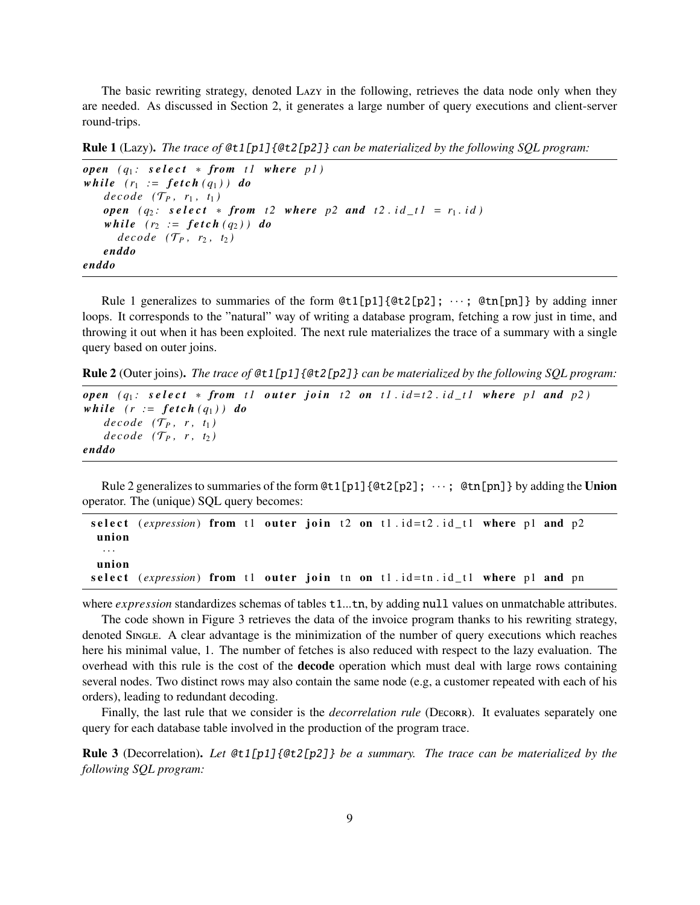The basic rewriting strategy, denoted Lazy in the following, retrieves the data node only when they are needed. As discussed in Section 2, it generates a large number of query executions and client-server round-trips.

Rule 1 (Lazy). *The trace of* @t1[p1]{@t2[p2]} *can be materialized by the following SQL program:*

```
open (q_1: \text{select } * \text{ from } t1 \text{ where } p1)while (r_1 := \text{fetch}(q_1)) do
     decode (\mathcal{T}_P, r_1, t_1)open (q_2: \text{select} * \text{from} t2 \text{ where } p2 \text{ and } t2 \text{.} id_t = r_1 \text{.} id)while (r_2 := \text{fetch}(q_2)) do
        decode (\mathcal{T}_P, r_2, t_2)enddo
enddo
```
Rule 1 generalizes to summaries of the form  $@t1[p1]{@t2[p2]}; \cdots; @tn[pn]$  by adding inner loops. It corresponds to the "natural" way of writing a database program, fetching a row just in time, and throwing it out when it has been exploited. The next rule materializes the trace of a summary with a single query based on outer joins.

Rule 2 (Outer joins). *The trace of* @t1[p1]{@t2[p2]} *can be materialized by the following SQL program:*

```
open (q_1: \text{select } * \text{ from } t1 \text{ outer join } t2 \text{ on } t1 \text{.} id=t2 \text{.} id_t1 \text{ where } p1 \text{ and } p2)while (r := \text{fetch}(q_1)) do
     decode (\mathcal{T}_P, r, t_1)decode (\mathcal{T}_P, r, t_2)enddo
```
Rule 2 generalizes to summaries of the form  $@t1[p1]{@t2[p2]}; \cdots; @tn[pn]$  by adding the Union operator. The (unique) SQL query becomes:

```
select (expression) from t1 outer join t2 on t1 id=t2 id_t1 where p1 and p2
union
 · · ·
union
select (expression) from t1 outer join tn on t1.id=tn.id_t1 where p1 and pn
```
where *expression* standardizes schemas of tables t1...tn, by adding null values on unmatchable attributes.

The code shown in Figure 3 retrieves the data of the invoice program thanks to his rewriting strategy, denoted Single. A clear advantage is the minimization of the number of query executions which reaches here his minimal value, 1. The number of fetches is also reduced with respect to the lazy evaluation. The overhead with this rule is the cost of the **decode** operation which must deal with large rows containing several nodes. Two distinct rows may also contain the same node (e.g, a customer repeated with each of his orders), leading to redundant decoding.

Finally, the last rule that we consider is the *decorrelation rule* (DECORR). It evaluates separately one query for each database table involved in the production of the program trace.

Rule 3 (Decorrelation). *Let* @t1[p1]{@t2[p2]} *be a summary. The trace can be materialized by the following SQL program:*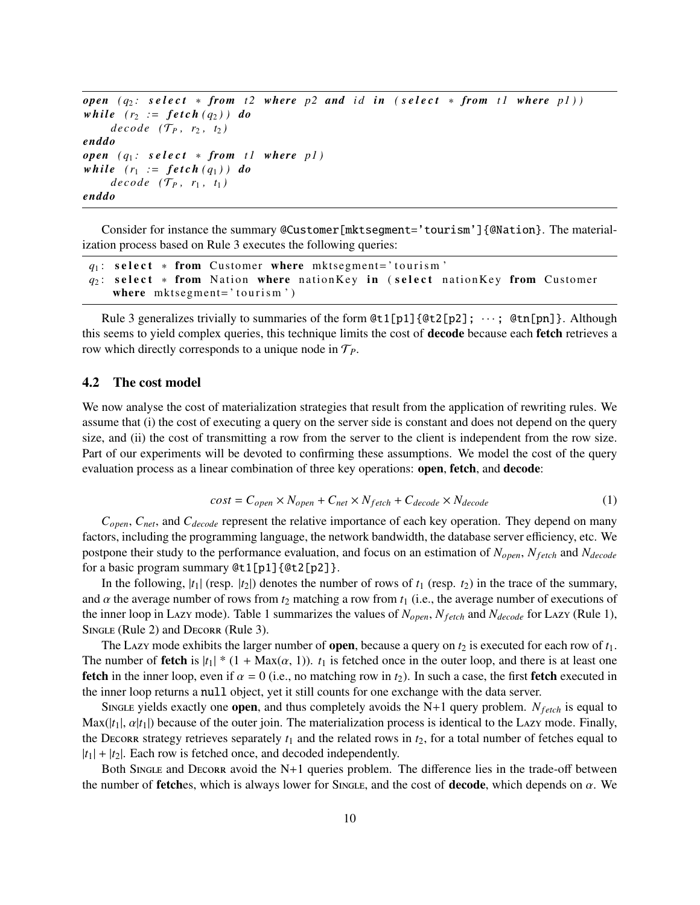*open*  $(q_2: \text{select } * \text{ from } t2 \text{ where } p2 \text{ and } id \text{ in } (select * \text{ from } t1 \text{ where } p1)$ *while*  $(r_2 := \text{fetch}(q_2))$  *do decode*  $(\mathcal{T}_P, r_2, t_2)$ *enddo*  $open$   $(q_1: select * from t1 where p1)$ *while*  $(r_1 := \text{fetch}(q_1))$  *do*  $decode$   $(\mathcal{T}_P, r_1, t_1)$ *enddo*

Consider for instance the summary @Customer[mktsegment='tourism']{@Nation}. The materialization process based on Rule 3 executes the following queries:

```
q_1: select * from Customer where mktsegment='tourism'
q_2: select * from Nation where nation Key in (select nation Key from Customer
   where mkt segment='tourism')
```
Rule 3 generalizes trivially to summaries of the form  $Qt1[p1]\{Qt2[p2]; \cdots; Qtn[pn]\}$ . Although this seems to yield complex queries, this technique limits the cost of decode because each fetch retrieves a row which directly corresponds to a unique node in T*P*.

#### 4.2 The cost model

We now analyse the cost of materialization strategies that result from the application of rewriting rules. We assume that (i) the cost of executing a query on the server side is constant and does not depend on the query size, and (ii) the cost of transmitting a row from the server to the client is independent from the row size. Part of our experiments will be devoted to confirming these assumptions. We model the cost of the query evaluation process as a linear combination of three key operations: **open, fetch**, and **decode**:

$$
cost = C_{open} \times N_{open} + C_{net} \times N_{fetch} + C_{decode} \times N_{decode}
$$
 (1)

*Copen*, *Cnet*, and *Cdecode* represent the relative importance of each key operation. They depend on many factors, including the programming language, the network bandwidth, the database server efficiency, etc. We postpone their study to the performance evaluation, and focus on an estimation of *Nopen*, *Nf etch* and *Ndecode* for a basic program summary @t1[p1]{@t2[p2]}.

In the following,  $|t_1|$  (resp.  $|t_2|$ ) denotes the number of rows of  $t_1$  (resp.  $t_2$ ) in the trace of the summary, and  $\alpha$  the average number of rows from  $t_2$  matching a row from  $t_1$  (i.e., the average number of executions of the inner loop in Lazy mode). Table 1 summarizes the values of *Nopen*, *Nf etch* and *Ndecode* for Lazy (Rule 1), SINGLE (Rule 2) and DECORR (Rule 3).

The Lazy mode exhibits the larger number of **open**, because a query on  $t_2$  is executed for each row of  $t_1$ . The number of **fetch** is  $|t_1| * (1 + \text{Max}(\alpha, 1))$ .  $t_1$  is fetched once in the outer loop, and there is at least one **fetch** in the inner loop, even if  $\alpha = 0$  (i.e., no matching row in  $t_2$ ). In such a case, the first **fetch** executed in the inner loop returns a null object, yet it still counts for one exchange with the data server.

Single yields exactly one **open**, and thus completely avoids the N+1 query problem.  $N_{feich}$  is equal to  $\text{Max}(|t_1|, \alpha|t_1|)$  because of the outer join. The materialization process is identical to the Lazy mode. Finally, the Decorr strategy retrieves separately  $t_1$  and the related rows in  $t_2$ , for a total number of fetches equal to  $|t_1| + |t_2|$ . Each row is fetched once, and decoded independently.

Both Single and Decorr avoid the  $N+1$  queries problem. The difference lies in the trade-off between the number of **fetches**, which is always lower for Single, and the cost of **decode**, which depends on  $\alpha$ . We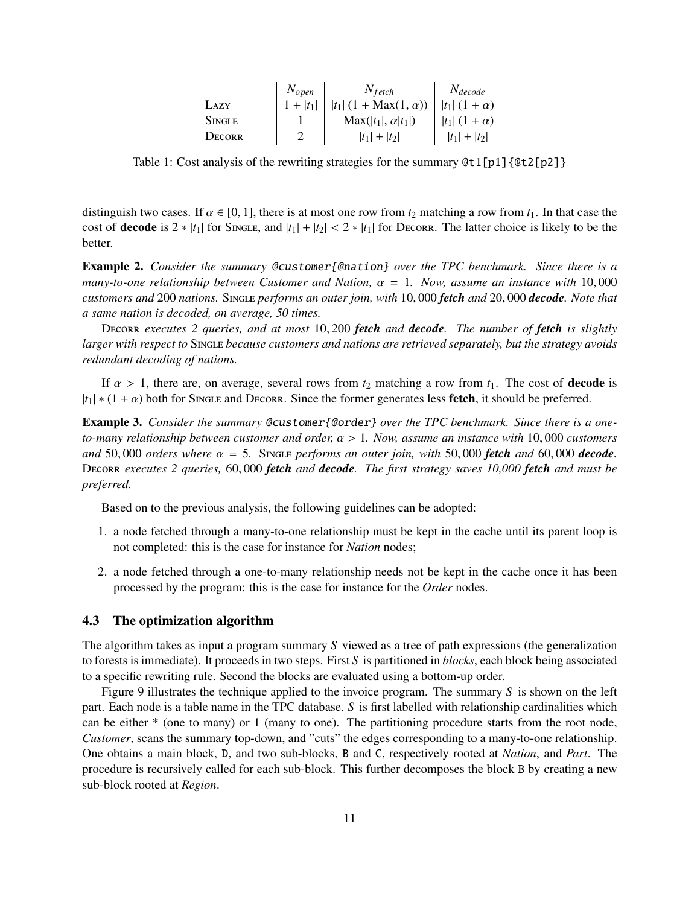|               | $N_{open}$  | $N_{fetch}$                       | $N_{decode}$                    |
|---------------|-------------|-----------------------------------|---------------------------------|
| LAZY          | $1 +  t_1 $ | $ t_1 $ (1 + Max(1, $\alpha$ ))   | $ t_1  (1 + \alpha)$            |
| <b>SINGLE</b> |             | $\text{Max}( t_1 , \alpha  t_1 )$ | t <sub>1</sub>   $(1 + \alpha)$ |
| <b>DECORR</b> |             | $ t_1  +  t_2 $                   | $ t_1  +  t_2 $                 |

Table 1: Cost analysis of the rewriting strategies for the summary  $Qt1[p1]{Qt2[p2]}$ 

distinguish two cases. If  $\alpha \in [0, 1]$ , there is at most one row from  $t_2$  matching a row from  $t_1$ . In that case the cost of **decode** is  $2 * |t_1|$  for Single, and  $|t_1| + |t_2| < 2 * |t_1|$  for Decorr. The latter choice is likely to be the better.

Example 2. *Consider the summary* @customer{@nation} *over the TPC benchmark. Since there is a many-to-one relationship between Customer and Nation,*  $\alpha = 1$ *. Now, assume an instance with* 10,000 *customers and* <sup>200</sup> *nations.* <sup>S</sup>ingle *performs an outer join, with* <sup>10</sup>, <sup>000</sup> *fetch and* <sup>20</sup>, <sup>000</sup> *decode. Note that a same nation is decoded, on average, 50 times.*

<sup>D</sup>ecorr *executes 2 queries, and at most* <sup>10</sup>, <sup>200</sup> *fetch and decode. The number of fetch is slightly larger with respect to* Single *because customers and nations are retrieved separately, but the strategy avoids redundant decoding of nations.*

If  $\alpha > 1$ , there are, on average, several rows from  $t_2$  matching a row from  $t_1$ . The cost of **decode** is  $|t_1| * (1 + \alpha)$  both for Single and Decorr. Since the former generates less **fetch**, it should be preferred.

Example 3. *Consider the summary* @customer{@order} *over the TPC benchmark. Since there is a oneto-many relationship between customer and order,* α > <sup>1</sup>*. Now, assume an instance with* <sup>10</sup>, <sup>000</sup> *customers and* 50,000 *orders where*  $\alpha = 5$ . Single *performs an outer join, with* 50,000 *fetch and* 60,000 *decode*. <sup>D</sup>ecorr *executes 2 queries,* <sup>60</sup>, <sup>000</sup> *fetch and decode. The first strategy saves 10,000 fetch and must be preferred.*

Based on to the previous analysis, the following guidelines can be adopted:

- 1. a node fetched through a many-to-one relationship must be kept in the cache until its parent loop is not completed: this is the case for instance for *Nation* nodes;
- 2. a node fetched through a one-to-many relationship needs not be kept in the cache once it has been processed by the program: this is the case for instance for the *Order* nodes.

#### 4.3 The optimization algorithm

The algorithm takes as input a program summary *S* viewed as a tree of path expressions (the generalization to forests is immediate). It proceeds in two steps. First *S* is partitioned in *blocks*, each block being associated to a specific rewriting rule. Second the blocks are evaluated using a bottom-up order.

Figure 9 illustrates the technique applied to the invoice program. The summary *S* is shown on the left part. Each node is a table name in the TPC database. *S* is first labelled with relationship cardinalities which can be either \* (one to many) or 1 (many to one). The partitioning procedure starts from the root node, *Customer*, scans the summary top-down, and "cuts" the edges corresponding to a many-to-one relationship. One obtains a main block, D, and two sub-blocks, B and C, respectively rooted at *Nation*, and *Part*. The procedure is recursively called for each sub-block. This further decomposes the block B by creating a new sub-block rooted at *Region*.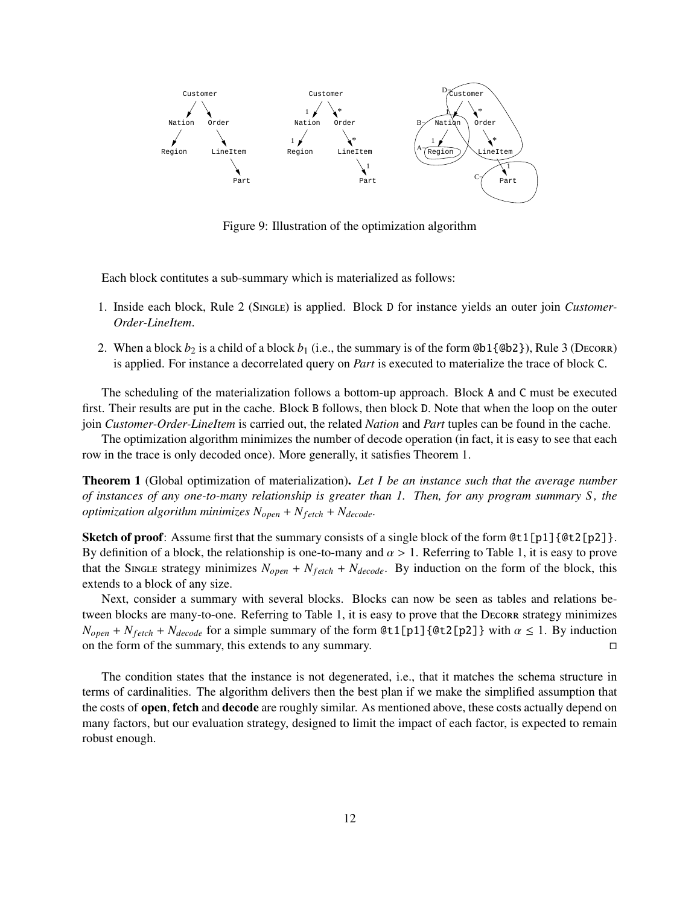

Figure 9: Illustration of the optimization algorithm

Each block contitutes a sub-summary which is materialized as follows:

- 1. Inside each block, Rule 2 (Single) is applied. Block D for instance yields an outer join *Customer-Order-LineItem*.
- 2. When a block  $b_2$  is a child of a block  $b_1$  (i.e., the summary is of the form  $@b1{@b2}$ ), Rule 3 (Decorr) is applied. For instance a decorrelated query on *Part* is executed to materialize the trace of block C.

The scheduling of the materialization follows a bottom-up approach. Block A and C must be executed first. Their results are put in the cache. Block B follows, then block D. Note that when the loop on the outer join *Customer-Order-LineItem* is carried out, the related *Nation* and *Part* tuples can be found in the cache.

The optimization algorithm minimizes the number of decode operation (in fact, it is easy to see that each row in the trace is only decoded once). More generally, it satisfies Theorem 1.

Theorem 1 (Global optimization of materialization). *Let I be an instance such that the average number of instances of any one-to-many relationship is greater than 1. Then, for any program summary S , the optimization algorithm minimizes*  $N_{open} + N_{fetch} + N_{decode}$ .

Sketch of proof: Assume first that the summary consists of a single block of the form  $Qt1[p1]{Qt2[p2]}$ . By definition of a block, the relationship is one-to-many and  $\alpha > 1$ . Referring to Table 1, it is easy to prove that the Single strategy minimizes  $N_{open} + N_{feich} + N_{decode}$ . By induction on the form of the block, this extends to a block of any size.

Next, consider a summary with several blocks. Blocks can now be seen as tables and relations between blocks are many-to-one. Referring to Table 1, it is easy to prove that the Decorr strategy minimizes *N*<sub>open</sub> + *N*<sub>*fetch*</sub> + *N*<sub>decode</sub> for a simple summary of the form @t1[p1]{@t2[p2]} with  $\alpha \le 1$ . By induction on the form of the summary, this extends to any summary. on the form of the summary, this extends to any summary.

The condition states that the instance is not degenerated, i.e., that it matches the schema structure in terms of cardinalities. The algorithm delivers then the best plan if we make the simplified assumption that the costs of **open, fetch** and **decode** are roughly similar. As mentioned above, these costs actually depend on many factors, but our evaluation strategy, designed to limit the impact of each factor, is expected to remain robust enough.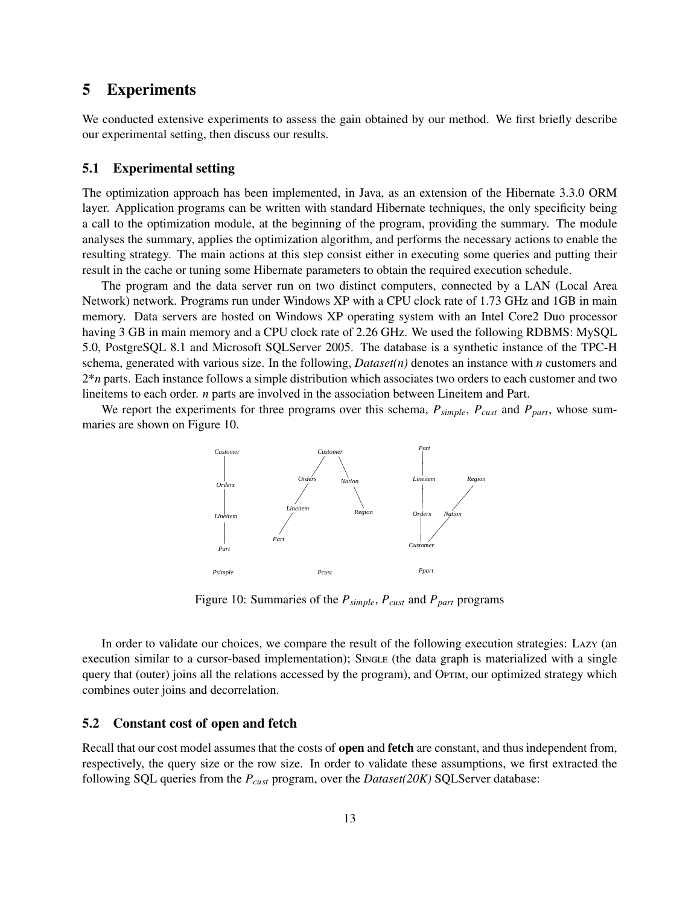## 5 Experiments

We conducted extensive experiments to assess the gain obtained by our method. We first briefly describe our experimental setting, then discuss our results.

#### 5.1 Experimental setting

The optimization approach has been implemented, in Java, as an extension of the Hibernate 3.3.0 ORM layer. Application programs can be written with standard Hibernate techniques, the only specificity being a call to the optimization module, at the beginning of the program, providing the summary. The module analyses the summary, applies the optimization algorithm, and performs the necessary actions to enable the resulting strategy. The main actions at this step consist either in executing some queries and putting their result in the cache or tuning some Hibernate parameters to obtain the required execution schedule.

The program and the data server run on two distinct computers, connected by a LAN (Local Area Network) network. Programs run under Windows XP with a CPU clock rate of 1.73 GHz and 1GB in main memory. Data servers are hosted on Windows XP operating system with an Intel Core2 Duo processor having 3 GB in main memory and a CPU clock rate of 2.26 GHz. We used the following RDBMS: MySQL 5.0, PostgreSQL 8.1 and Microsoft SQLServer 2005. The database is a synthetic instance of the TPC-H schema, generated with various size. In the following, *Dataset(n)* denotes an instance with *n* customers and 2\**n* parts. Each instance follows a simple distribution which associates two orders to each customer and two lineitems to each order. *n* parts are involved in the association between Lineitem and Part.

We report the experiments for three programs over this schema, *Psimple*, *Pcust* and *Ppart*, whose summaries are shown on Figure 10.



Figure 10: Summaries of the *Psimple*, *Pcust* and *Ppart* programs

In order to validate our choices, we compare the result of the following execution strategies: Lazy (an execution similar to a cursor-based implementation); SINGLE (the data graph is materialized with a single query that (outer) joins all the relations accessed by the program), and Optim, our optimized strategy which combines outer joins and decorrelation.

#### 5.2 Constant cost of open and fetch

Recall that our cost model assumes that the costs of **open** and **fetch** are constant, and thus independent from, respectively, the query size or the row size. In order to validate these assumptions, we first extracted the following SQL queries from the *Pcust* program, over the *Dataset(20K)* SQLServer database: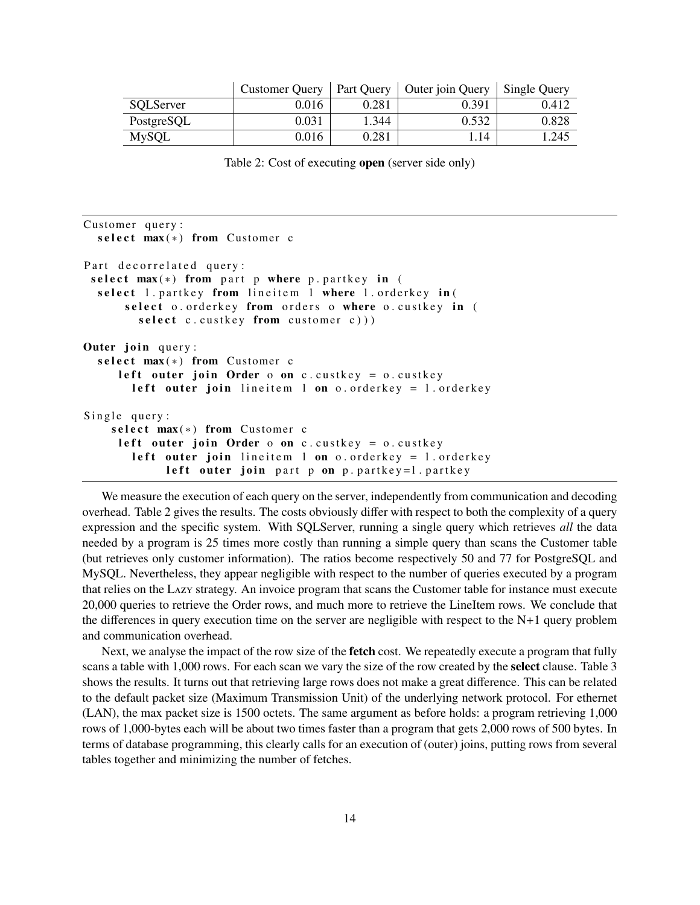|            | <b>Customer Query</b> | Part Query | Outer join Query | <b>Single Query</b> |
|------------|-----------------------|------------|------------------|---------------------|
| SQLServer  | 0.016                 | 0.281      | 0.391            | 0.412               |
| PostgreSQL | 0.031                 | 1.344      | 0.532            | 0.828               |
| MySQL      | 0.016                 | 0.281      | .14              | .245                |

Table 2: Cost of executing open (server side only)

```
Customer query:
  select max(*) from Customer c
Part decorrelated query:
 select max(*) from part p where p . partkey in (
  select 1. partkey from lineitem 1 where 1. orderkey in (
      select o. orderkey from orders o where o. custkey in (
        select c. custkey from customer c)))
Outer join query:
  select max(*) from Customer c
     left outer join Order o on c. custkey = o. custkey
       left outer join lineitem l on o orderkey = l orderkey
Single query:
    select max(*) from Customer c
     left outer join Order o on c. custkey = o. custkey
       left outer join lineitem l on o orderkey = l orderkey
            left outer join part p on p. partkey=1. partkey
```
We measure the execution of each query on the server, independently from communication and decoding overhead. Table 2 gives the results. The costs obviously differ with respect to both the complexity of a query expression and the specific system. With SQLServer, running a single query which retrieves *all* the data needed by a program is 25 times more costly than running a simple query than scans the Customer table (but retrieves only customer information). The ratios become respectively 50 and 77 for PostgreSQL and MySQL. Nevertheless, they appear negligible with respect to the number of queries executed by a program that relies on the Lazy strategy. An invoice program that scans the Customer table for instance must execute 20,000 queries to retrieve the Order rows, and much more to retrieve the LineItem rows. We conclude that the differences in query execution time on the server are negligible with respect to the N+1 query problem and communication overhead.

Next, we analyse the impact of the row size of the **fetch** cost. We repeatedly execute a program that fully scans a table with 1,000 rows. For each scan we vary the size of the row created by the select clause. Table 3 shows the results. It turns out that retrieving large rows does not make a great difference. This can be related to the default packet size (Maximum Transmission Unit) of the underlying network protocol. For ethernet (LAN), the max packet size is 1500 octets. The same argument as before holds: a program retrieving 1,000 rows of 1,000-bytes each will be about two times faster than a program that gets 2,000 rows of 500 bytes. In terms of database programming, this clearly calls for an execution of (outer) joins, putting rows from several tables together and minimizing the number of fetches.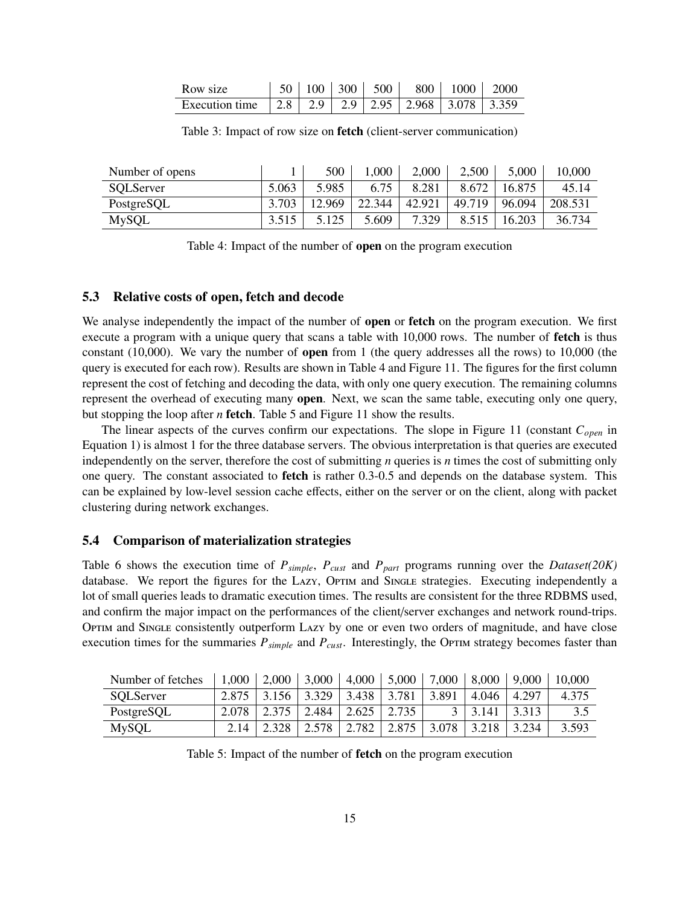| Row size |  | $50 \mid 100 \mid 300 \mid 500 \mid$ | 800   1000   2000 |  |
|----------|--|--------------------------------------|-------------------|--|
|          |  |                                      |                   |  |

| Number of opens |       | 500    | 1,000  | 2,000  | 2,500  | 5,000  | 10.000  |
|-----------------|-------|--------|--------|--------|--------|--------|---------|
| SQLServer       | 5.063 | 5.985  | 6.75   | 8.281  | 8.672  | 16.875 | 45.14   |
| PostgreSQL      | 3.703 | 12.969 | 22.344 | 42.921 | 49.719 | 96.094 | 208.531 |
| <b>MySQL</b>    | 3.515 | 5.125  | 5.609  | 7.329  | 8.515  | 16.203 | 36.734  |

Table 3: Impact of row size on fetch (client-server communication)

Table 4: Impact of the number of open on the program execution

#### 5.3 Relative costs of open, fetch and decode

We analyse independently the impact of the number of **open** or **fetch** on the program execution. We first execute a program with a unique query that scans a table with 10,000 rows. The number of **fetch** is thus constant (10,000). We vary the number of open from 1 (the query addresses all the rows) to 10,000 (the query is executed for each row). Results are shown in Table 4 and Figure 11. The figures for the first column represent the cost of fetching and decoding the data, with only one query execution. The remaining columns represent the overhead of executing many open. Next, we scan the same table, executing only one query, but stopping the loop after *n* fetch. Table 5 and Figure 11 show the results.

The linear aspects of the curves confirm our expectations. The slope in Figure 11 (constant *Copen* in Equation 1) is almost 1 for the three database servers. The obvious interpretation is that queries are executed independently on the server, therefore the cost of submitting *n* queries is *n* times the cost of submitting only one query. The constant associated to **fetch** is rather 0.3-0.5 and depends on the database system. This can be explained by low-level session cache effects, either on the server or on the client, along with packet clustering during network exchanges.

#### 5.4 Comparison of materialization strategies

Table 6 shows the execution time of *Psimple*, *Pcust* and *Ppart* programs running over the *Dataset(20K)* database. We report the figures for the LAZY, OPTIM and SINGLE strategies. Executing independently a lot of small queries leads to dramatic execution times. The results are consistent for the three RDBMS used, and confirm the major impact on the performances of the client/server exchanges and network round-trips. OPTIM and SINGLE consistently outperform LAZY by one or even two orders of magnitude, and have close execution times for the summaries  $P_{simple}$  and  $P_{cust}$ . Interestingly, the Optim strategy becomes faster than

| Number of fetches | 1,000 | 2,000 | 3,000 | 4,000 | 5,000 | 7,000 | 8,000 | 9,000   | 10,000 |
|-------------------|-------|-------|-------|-------|-------|-------|-------|---------|--------|
| SQLServer         | 2.875 | 3.156 | 3.329 | 3.438 | 3.781 | 3.891 | 4.046 | 4 2 9 7 | 4.375  |
| PostgreSQL        | 2.078 | 2.375 | 2.484 | 2.625 | 2.735 |       | 3.141 | 3.313   | 3.5    |
| MySQL             | 2.14  | 2.328 | 2.578 | 2.782 | 2.875 | 3.078 |       | 3.234   | 3.593  |

Table 5: Impact of the number of fetch on the program execution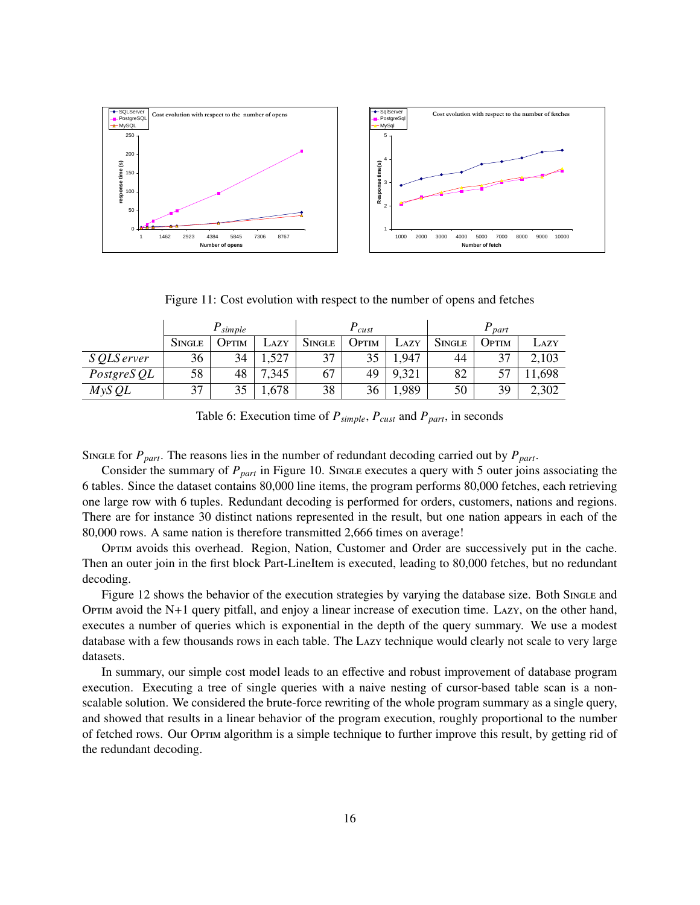

Figure 11: Cost evolution with respect to the number of opens and fetches

|             | simple        |       |                 | cust          |       |       | part   |       |        |
|-------------|---------------|-------|-----------------|---------------|-------|-------|--------|-------|--------|
|             | <b>SINGLE</b> | JPTIM | $\triangle$ AZY | <b>SINGLE</b> | Optim | LAZY  | SINGLE | Ортім | Lazy   |
| S QLS erver | 36            | 34    | 1,527           | 37            | 35    | ,947  | 44     | 37    | 2,103  |
| PostgreS QL | 58            | 48    | ,345            | 67            | 49    | 9,321 | 82     |       | 11,698 |
| $M$ yS QL   | 37            | 35    | 1,678           | 38            | 36    | ,989  | 50     | 39    | 2,302  |

Table 6: Execution time of *Psimple*, *Pcust* and *Ppart*, in seconds

Single for  $P_{part}$ . The reasons lies in the number of redundant decoding carried out by  $P_{part}$ .

Consider the summary of *P*<sub>part</sub> in Figure 10. Single executes a query with 5 outer joins associating the 6 tables. Since the dataset contains 80,000 line items, the program performs 80,000 fetches, each retrieving one large row with 6 tuples. Redundant decoding is performed for orders, customers, nations and regions. There are for instance 30 distinct nations represented in the result, but one nation appears in each of the 80,000 rows. A same nation is therefore transmitted 2,666 times on average!

Optim avoids this overhead. Region, Nation, Customer and Order are successively put in the cache. Then an outer join in the first block Part-LineItem is executed, leading to 80,000 fetches, but no redundant decoding.

Figure 12 shows the behavior of the execution strategies by varying the database size. Both Single and OPTIM avoid the  $N+1$  query pitfall, and enjoy a linear increase of execution time. Lazy, on the other hand, executes a number of queries which is exponential in the depth of the query summary. We use a modest database with a few thousands rows in each table. The Lazy technique would clearly not scale to very large datasets.

In summary, our simple cost model leads to an effective and robust improvement of database program execution. Executing a tree of single queries with a naive nesting of cursor-based table scan is a nonscalable solution. We considered the brute-force rewriting of the whole program summary as a single query, and showed that results in a linear behavior of the program execution, roughly proportional to the number of fetched rows. Our Optim algorithm is a simple technique to further improve this result, by getting rid of the redundant decoding.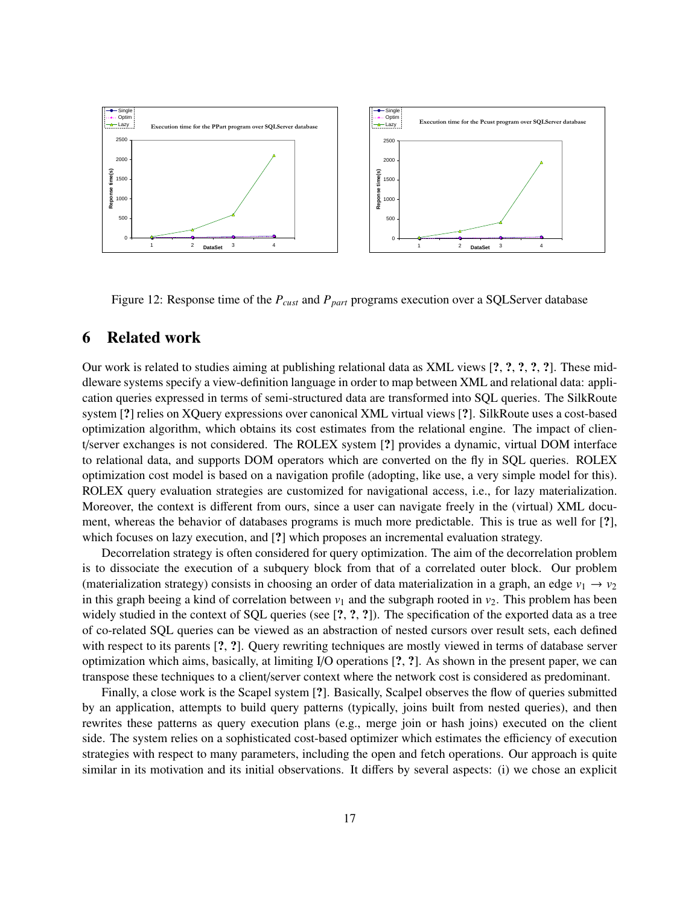

Figure 12: Response time of the *Pcust* and *Ppart* programs execution over a SQLServer database

## 6 Related work

Our work is related to studies aiming at publishing relational data as XML views [?, ?, ?, ?, ?]. These middleware systems specify a view-definition language in order to map between XML and relational data: application queries expressed in terms of semi-structured data are transformed into SQL queries. The SilkRoute system [?] relies on XQuery expressions over canonical XML virtual views [?]. SilkRoute uses a cost-based optimization algorithm, which obtains its cost estimates from the relational engine. The impact of client/server exchanges is not considered. The ROLEX system [?] provides a dynamic, virtual DOM interface to relational data, and supports DOM operators which are converted on the fly in SQL queries. ROLEX optimization cost model is based on a navigation profile (adopting, like use, a very simple model for this). ROLEX query evaluation strategies are customized for navigational access, i.e., for lazy materialization. Moreover, the context is different from ours, since a user can navigate freely in the (virtual) XML document, whereas the behavior of databases programs is much more predictable. This is true as well for [?], which focuses on lazy execution, and [?] which proposes an incremental evaluation strategy.

Decorrelation strategy is often considered for query optimization. The aim of the decorrelation problem is to dissociate the execution of a subquery block from that of a correlated outer block. Our problem (materialization strategy) consists in choosing an order of data materialization in a graph, an edge  $v_1 \rightarrow v_2$ in this graph beeing a kind of correlation between  $v_1$  and the subgraph rooted in  $v_2$ . This problem has been widely studied in the context of SQL queries (see [?, ?, ?]). The specification of the exported data as a tree of co-related SQL queries can be viewed as an abstraction of nested cursors over result sets, each defined with respect to its parents [?, ?]. Query rewriting techniques are mostly viewed in terms of database server optimization which aims, basically, at limiting I/O operations [?, ?]. As shown in the present paper, we can transpose these techniques to a client/server context where the network cost is considered as predominant.

Finally, a close work is the Scapel system [?]. Basically, Scalpel observes the flow of queries submitted by an application, attempts to build query patterns (typically, joins built from nested queries), and then rewrites these patterns as query execution plans (e.g., merge join or hash joins) executed on the client side. The system relies on a sophisticated cost-based optimizer which estimates the efficiency of execution strategies with respect to many parameters, including the open and fetch operations. Our approach is quite similar in its motivation and its initial observations. It differs by several aspects: (i) we chose an explicit